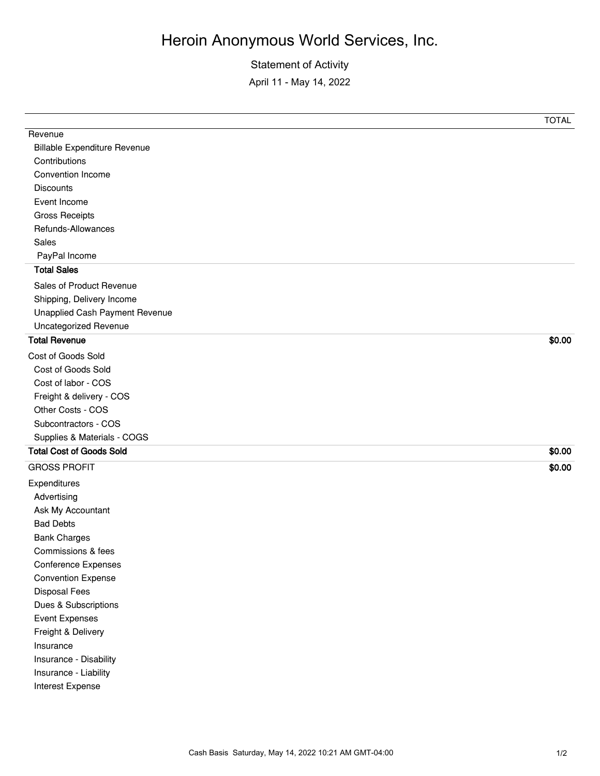## Heroin Anonymous World Services, Inc.

Statement of Activity April 11 - May 14, 2022

|                                     | <b>TOTAL</b> |
|-------------------------------------|--------------|
| Revenue                             |              |
| <b>Billable Expenditure Revenue</b> |              |
| Contributions                       |              |
| Convention Income                   |              |
| <b>Discounts</b>                    |              |
| Event Income                        |              |
| <b>Gross Receipts</b>               |              |
| Refunds-Allowances                  |              |
| Sales                               |              |
| PayPal Income                       |              |
| <b>Total Sales</b>                  |              |
| Sales of Product Revenue            |              |
| Shipping, Delivery Income           |              |
| Unapplied Cash Payment Revenue      |              |
| <b>Uncategorized Revenue</b>        |              |
| <b>Total Revenue</b>                | \$0.00       |
| Cost of Goods Sold                  |              |
| Cost of Goods Sold                  |              |
| Cost of labor - COS                 |              |
| Freight & delivery - COS            |              |
| Other Costs - COS                   |              |
| Subcontractors - COS                |              |
| Supplies & Materials - COGS         |              |
| <b>Total Cost of Goods Sold</b>     | \$0.00       |
| <b>GROSS PROFIT</b>                 | \$0.00       |
| Expenditures                        |              |
| Advertising                         |              |
| Ask My Accountant                   |              |
| <b>Bad Debts</b>                    |              |
| <b>Bank Charges</b>                 |              |
| Commissions & fees                  |              |
| <b>Conference Expenses</b>          |              |
| <b>Convention Expense</b>           |              |
| <b>Disposal Fees</b>                |              |
| Dues & Subscriptions                |              |
| <b>Event Expenses</b>               |              |
| Freight & Delivery                  |              |
| Insurance                           |              |
| Insurance - Disability              |              |
| Insurance - Liability               |              |
| Interest Expense                    |              |